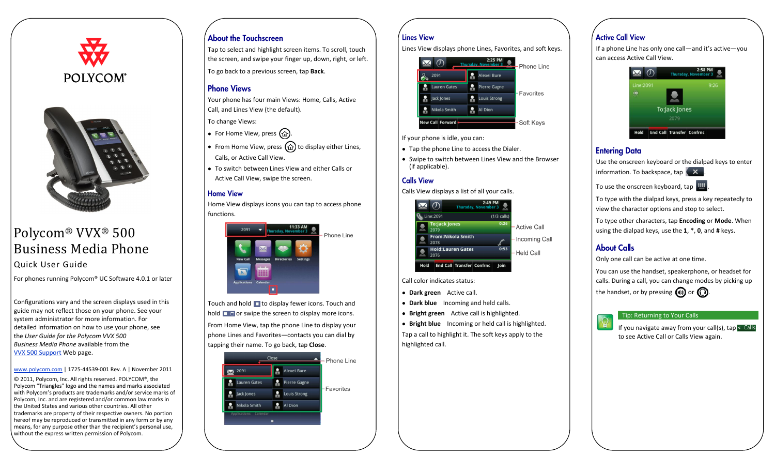



# Polycom® VVX® 500 Business Media Phone

Quick User Guide

For phones running Polycom® UC Software 4.0.1 or later

Configurations vary and the screen displays used in this guide may not reflect those on your phone. See your system administrator for more information. For detailed information on how to use your phone, see the *User Guide for the Polycom VVX 500 Business Media Phone* available from the VVX 500 [Support](http://support.polycom.com/PolycomService/support/us/support/voice/business_media_phones/vvx500.html) Web page.

#### [www.polycom.com](http://www.polycom.com/) | 1725-44539-001 Rev. A | November 2011

© 2011, Polycom, Inc. All rights reserved. POLYCOM®, the Polycom "Triangles" logo and the names and marks associated with Polycom's products are trademarks and/or service marks of Polycom, Inc. and are registered and/or common law marks in the United States and various other countries. All other trademarks are property of their respective owners. No portion hereof may be reproduced or transmitted in any form or by any means, for any purpose other than the recipient's personal use, without the express written permission of Polycom.

#### **About the Touchscreen**

Tap to select and highlight screen items. To scroll, touch the screen, and swipe your finger up, down, right, or left.

To go back to a previous screen, tap **Back**.

#### **Phone Views**

Your phone has four main Views: Home, Calls, Active Call, and Lines View (the default).

To change Views:

- For Home View, press  $\omega$ .
- From Home View, press  $\textcircled{a}$  to display either Lines, Calls, or Active Call View.
- To switch between Lines View and either Calls or Active Call View, swipe the screen.

#### **Home View**

Home View displays icons you can tap to access phone functions.



Touch and hold  $\Box$  to display fewer icons. Touch and hold  $\Box$  or swipe the screen to display more icons.

From Home View, tap the phone Line to display your phone Lines and Favorites—contacts you can dial by tapping their name. To go back, tap **Close**.



#### **Lines View**

Lines View displays phone Lines, Favorites, and soft keys.

|                         | 2:25 PM<br>Thursday November 3 | - Phone Line |
|-------------------------|--------------------------------|--------------|
| 2091                    | Alexei Bure                    |              |
| <b>Lauren Gates</b>     | <b>Pierre Gagne</b>            |              |
| Jack Jones              | <b>Louis Strong</b>            | Favorites    |
| Nikola Smith            | Al Dion                        |              |
| <b>New Call Forward</b> |                                | -Soft Keys   |

If your phone is idle, you can:

- Tap the phone Line to access the Dialer.
- Swipe to switch between Lines View and the Browser (if applicable).

#### **Calls View**

Calls View displays a list of all your calls.



Call color indicates status:

- **Dark green** Active call.
- **Dark blue** Incoming and held calls.
- **Bright green** Active call is highlighted.

**Bright blue** Incoming or held call is highlighted. Tap a call to highlight it. The soft keys apply to the highlighted call.

### **Active Call View**

If a phone Line has only one call—and it's active—you can access Active Call View.



#### **Entering Data**

Use the onscreen keyboard or the dialpad keys to enter information. To backspace, tap  $\left( \right. \times \right)$ 

To use the onscreen keyboard, tap

To type with the dialpad keys, press a key repeatedly to view the character options and stop to select.

To type other characters, tap **Encoding** or **Mode**. When using the dialpad keys, use the **1**, **\***, **0**, and **#** keys.

### **About Calls**

Only one call can be active at one time.

You can use the handset, speakerphone, or headset for calls. During a call, you can change modes by picking up the handset, or by pressing  $\Box$  or  $\Box$ .

#### Tip: Returning to Your Calls

If you navigate away from your call(s), tap  $\leq$  Calls to see Active Call or Calls View again.